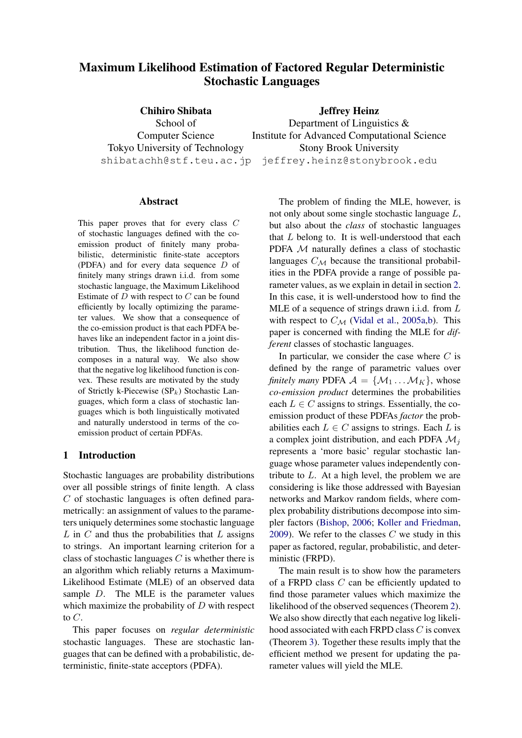# Maximum Likelihood Estimation of Factored Regular Deterministic Stochastic Languages

Chihiro Shibata School of Computer Science Tokyo University of Technology

shibatachh@stf.teu.ac.jp jeffrey.heinz@stonybrook.edu Jeffrey Heinz Department of Linguistics & Institute for Advanced Computational Science Stony Brook University

#### Abstract

This paper proves that for every class C of stochastic languages defined with the coemission product of finitely many probabilistic, deterministic finite-state acceptors (PDFA) and for every data sequence D of finitely many strings drawn i.i.d. from some stochastic language, the Maximum Likelihood Estimate of  $D$  with respect to  $C$  can be found efficiently by locally optimizing the parameter values. We show that a consequence of the co-emission product is that each PDFA behaves like an independent factor in a joint distribution. Thus, the likelihood function decomposes in a natural way. We also show that the negative log likelihood function is convex. These results are motivated by the study of Strictly k-Piecewise  $(SP_k)$  Stochastic Languages, which form a class of stochastic languages which is both linguistically motivated and naturally understood in terms of the coemission product of certain PDFAs.

# 1 Introduction

Stochastic languages are probability distributions over all possible strings of finite length. A class C of stochastic languages is often defined parametrically: an assignment of values to the parameters uniquely determines some stochastic language  $L$  in  $C$  and thus the probabilities that  $L$  assigns to strings. An important learning criterion for a class of stochastic languages  $C$  is whether there is an algorithm which reliably returns a Maximum-Likelihood Estimate (MLE) of an observed data sample D. The MLE is the parameter values which maximize the probability of  $D$  with respect to  $C$ .

This paper focuses on *regular deterministic* stochastic languages. These are stochastic languages that can be defined with a probabilistic, deterministic, finite-state acceptors (PDFA).

The problem of finding the MLE, however, is not only about some single stochastic language L, but also about the *class* of stochastic languages that  $L$  belong to. It is well-understood that each PDFA M naturally defines a class of stochastic languages  $C_M$  because the transitional probabilities in the PDFA provide a range of possible parameter values, as we explain in detail in section [2.](#page-2-0) In this case, it is well-understood how to find the MLE of a sequence of strings drawn i.i.d. from  $L$ with respect to  $C_M$  [\(Vidal et al.,](#page-11-0) [2005a](#page-11-0)[,b\)](#page-11-1). This paper is concerned with finding the MLE for *different* classes of stochastic languages.

In particular, we consider the case where  $C$  is defined by the range of parametric values over *finitely many* PDFA  $A = \{M_1 ... M_K\}$ , whose *co-emission product* determines the probabilities each  $L \in C$  assigns to strings. Essentially, the coemission product of these PDFAs *factor* the probabilities each  $L \in C$  assigns to strings. Each L is a complex joint distribution, and each PDFA  $\mathcal{M}_i$ represents a 'more basic' regular stochastic language whose parameter values independently contribute to  $L$ . At a high level, the problem we are considering is like those addressed with Bayesian networks and Markov random fields, where complex probability distributions decompose into simpler factors [\(Bishop,](#page-10-0) [2006;](#page-10-0) [Koller and Friedman,](#page-11-2) [2009\)](#page-11-2). We refer to the classes  $C$  we study in this paper as factored, regular, probabilistic, and deterministic (FRPD).

The main result is to show how the parameters of a FRPD class C can be efficiently updated to find those parameter values which maximize the likelihood of the observed sequences (Theorem [2\)](#page-7-0). We also show directly that each negative log likelihood associated with each FRPD class C is convex (Theorem [3\)](#page-9-0). Together these results imply that the efficient method we present for updating the parameter values will yield the MLE.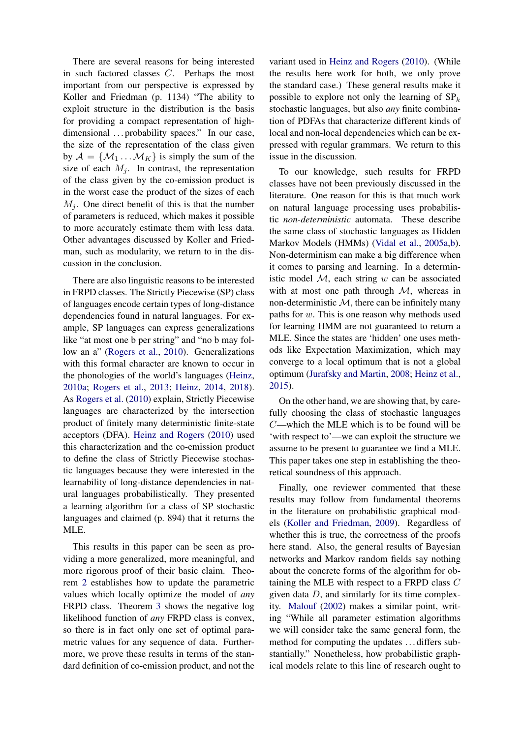There are several reasons for being interested in such factored classes C. Perhaps the most important from our perspective is expressed by Koller and Friedman (p. 1134) "The ability to exploit structure in the distribution is the basis for providing a compact representation of highdimensional ... probability spaces." In our case, the size of the representation of the class given by  $A = \{M_1 \dots M_K\}$  is simply the sum of the size of each  $M_i$ . In contrast, the representation of the class given by the co-emission product is in the worst case the product of the sizes of each  $M_i$ . One direct benefit of this is that the number of parameters is reduced, which makes it possible to more accurately estimate them with less data. Other advantages discussed by Koller and Friedman, such as modularity, we return to in the discussion in the conclusion.

There are also linguistic reasons to be interested in FRPD classes. The Strictly Piecewise (SP) class of languages encode certain types of long-distance dependencies found in natural languages. For example, SP languages can express generalizations like "at most one b per string" and "no b may follow an a" [\(Rogers et al.,](#page-11-3) [2010\)](#page-11-3). Generalizations with this formal character are known to occur in the phonologies of the world's languages [\(Heinz,](#page-11-4) [2010a;](#page-11-4) [Rogers et al.,](#page-11-5) [2013;](#page-11-5) [Heinz,](#page-11-6) [2014,](#page-11-6) [2018\)](#page-11-7). As [Rogers et al.](#page-11-3) [\(2010\)](#page-11-3) explain, Strictly Piecewise languages are characterized by the intersection product of finitely many deterministic finite-state acceptors (DFA). [Heinz and Rogers](#page-11-8) [\(2010\)](#page-11-8) used this characterization and the co-emission product to define the class of Strictly Piecewise stochastic languages because they were interested in the learnability of long-distance dependencies in natural languages probabilistically. They presented a learning algorithm for a class of SP stochastic languages and claimed (p. 894) that it returns the MLE.

This results in this paper can be seen as providing a more generalized, more meaningful, and more rigorous proof of their basic claim. Theorem [2](#page-7-0) establishes how to update the parametric values which locally optimize the model of *any* FRPD class. Theorem [3](#page-9-0) shows the negative log likelihood function of *any* FRPD class is convex, so there is in fact only one set of optimal parametric values for any sequence of data. Furthermore, we prove these results in terms of the standard definition of co-emission product, and not the

variant used in [Heinz and Rogers](#page-11-8) [\(2010\)](#page-11-8). (While the results here work for both, we only prove the standard case.) These general results make it possible to explore not only the learning of  $SP_k$ stochastic languages, but also *any* finite combination of PDFAs that characterize different kinds of local and non-local dependencies which can be expressed with regular grammars. We return to this issue in the discussion.

To our knowledge, such results for FRPD classes have not been previously discussed in the literature. One reason for this is that much work on natural language processing uses probabilistic *non-deterministic* automata. These describe the same class of stochastic languages as Hidden Markov Models (HMMs) [\(Vidal et al.,](#page-11-0) [2005a,](#page-11-0)[b\)](#page-11-1). Non-determinism can make a big difference when it comes to parsing and learning. In a deterministic model  $M$ , each string  $w$  can be associated with at most one path through  $M$ , whereas in non-deterministic  $M$ , there can be infinitely many paths for w. This is one reason why methods used for learning HMM are not guaranteed to return a MLE. Since the states are 'hidden' one uses methods like Expectation Maximization, which may converge to a local optimum that is not a global optimum [\(Jurafsky and Martin,](#page-11-9) [2008;](#page-11-9) [Heinz et al.,](#page-11-10) [2015\)](#page-11-10).

On the other hand, we are showing that, by carefully choosing the class of stochastic languages C—which the MLE which is to be found will be 'with respect to'—we can exploit the structure we assume to be present to guarantee we find a MLE. This paper takes one step in establishing the theoretical soundness of this approach.

Finally, one reviewer commented that these results may follow from fundamental theorems in the literature on probabilistic graphical models [\(Koller and Friedman,](#page-11-2) [2009\)](#page-11-2). Regardless of whether this is true, the correctness of the proofs here stand. Also, the general results of Bayesian networks and Markov random fields say nothing about the concrete forms of the algorithm for obtaining the MLE with respect to a FRPD class  $C$ given data  $D$ , and similarly for its time complexity. [Malouf](#page-11-11) [\(2002\)](#page-11-11) makes a similar point, writing "While all parameter estimation algorithms we will consider take the same general form, the method for computing the updates . . . differs substantially." Nonetheless, how probabilistic graphical models relate to this line of research ought to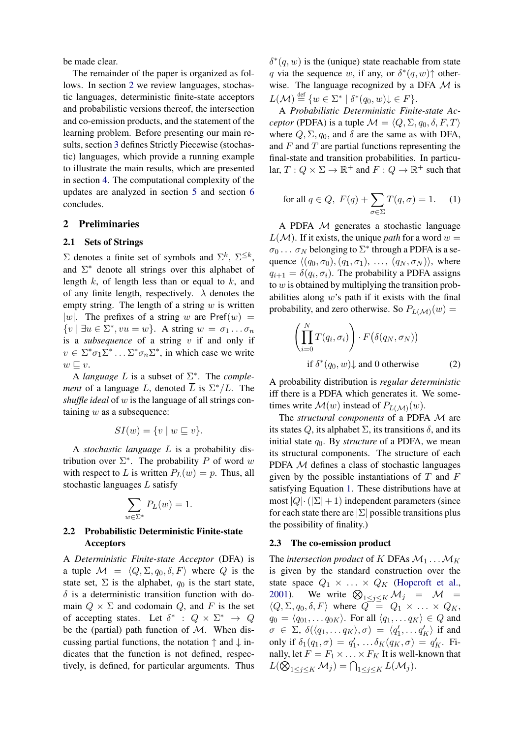be made clear.

The remainder of the paper is organized as follows. In section [2](#page-2-0) we review languages, stochastic languages, deterministic finite-state acceptors and probabilistic versions thereof, the intersection and co-emission products, and the statement of the learning problem. Before presenting our main results, section [3](#page-3-0) defines Strictly Piecewise (stochastic) languages, which provide a running example to illustrate the main results, which are presented in section [4.](#page-5-0) The computational complexity of the updates are analyzed in section [5](#page-9-1) and section [6](#page-10-1) concludes.

### <span id="page-2-0"></span>2 Preliminaries

#### 2.1 Sets of Strings

 $\Sigma$  denotes a finite set of symbols and  $\Sigma^k$ ,  $\Sigma^{\leq k}$ , and  $\Sigma^*$  denote all strings over this alphabet of length  $k$ , of length less than or equal to  $k$ , and of any finite length, respectively.  $\lambda$  denotes the empty string. The length of a string  $w$  is written |w|. The prefixes of a string w are  $Pref(w)$  =  $\{v \mid \exists u \in \Sigma^*, vu = w\}.$  A string  $w = \sigma_1 \dots \sigma_n$ is a *subsequence* of a string v if and only if  $v \in \Sigma^* \sigma_1 \Sigma^* \dots \Sigma^* \sigma_n \Sigma^*$ , in which case we write  $w \sqsubset v$ .

A *language*  $L$  is a subset of  $\Sigma^*$ . The *complement* of a language L, denoted  $\overline{L}$  is  $\Sigma^*/L$ . The *shuffle ideal* of w is the language of all strings containing  $w$  as a subsequence:

$$
SI(w) = \{v \mid w \sqsubseteq v\}.
$$

A *stochastic language* L is a probability distribution over  $\Sigma^*$ . The probability P of word w with respect to L is written  $P_L(w) = p$ . Thus, all stochastic languages L satisfy

$$
\sum_{w \in \Sigma^*} P_L(w) = 1.
$$

# 2.2 Probabilistic Deterministic Finite-state Acceptors

A *Deterministic Finite-state Acceptor* (DFA) is a tuple  $\mathcal{M} = \langle Q, \Sigma, q_0, \delta, F \rangle$  where Q is the state set,  $\Sigma$  is the alphabet,  $q_0$  is the start state,  $\delta$  is a deterministic transition function with domain  $Q \times \Sigma$  and codomain Q, and F is the set of accepting states. Let  $\delta^*$  :  $Q \times \Sigma^* \rightarrow Q$ be the (partial) path function of  $M$ . When discussing partial functions, the notation  $\uparrow$  and  $\downarrow$  indicates that the function is not defined, respectively, is defined, for particular arguments. Thus

 $\delta^*(q, w)$  is the (unique) state reachable from state q via the sequence w, if any, or  $\delta^*(q, w)$  otherwise. The language recognized by a DFA  $M$  is  $L(\mathcal{M}) \stackrel{\text{def}}{=} \{w \in \Sigma^* \mid \delta^*(q_0, w) \downarrow \in F\}.$ 

A *Probabilistic Deterministic Finite-state Acceptor* (PDFA) is a tuple  $\mathcal{M} = \langle Q, \Sigma, q_0, \delta, F, T \rangle$ where  $Q, \Sigma, q_0$ , and  $\delta$  are the same as with DFA, and  $F$  and  $T$  are partial functions representing the final-state and transition probabilities. In particular,  $T: Q \times \Sigma \to \mathbb{R}^+$  and  $F: Q \to \mathbb{R}^+$  such that

<span id="page-2-1"></span>for all 
$$
q \in Q
$$
,  $F(q) + \sum_{\sigma \in \Sigma} T(q, \sigma) = 1$ . (1)

A PDFA M generates a stochastic language  $L(\mathcal{M})$ . If it exists, the unique *path* for a word  $w =$  $\sigma_0 \ldots \sigma_N$  belonging to  $\Sigma^*$  through a PDFA is a sequence  $\langle (q_0, \sigma_0), (q_1, \sigma_1), \ldots, (q_N, \sigma_N) \rangle$ , where  $q_{i+1} = \delta(q_i, \sigma_i)$ . The probability a PDFA assigns to  $w$  is obtained by multiplying the transition probabilities along  $w$ 's path if it exists with the final probability, and zero otherwise. So  $P_{L(\mathcal{M})}(w) =$ 

$$
\left(\prod_{i=0}^{N} T(q_i, \sigma_i)\right) \cdot F(\delta(q_N, \sigma_N))
$$
  
if  $\delta^*(q_0, w) \downarrow$  and 0 otherwise (2)

A probability distribution is *regular deterministic* iff there is a PDFA which generates it. We sometimes write  $\mathcal{M}(w)$  instead of  $P_{L(\mathcal{M})}(w)$ .

The *structural components* of a PDFA M are its states Q, its alphabet  $\Sigma$ , its transitions  $\delta$ , and its initial state  $q_0$ . By *structure* of a PDFA, we mean its structural components. The structure of each PDFA M defines a class of stochastic languages given by the possible instantiations of  $T$  and  $F$ satisfying Equation [1.](#page-2-1) These distributions have at most  $|Q| \cdot (|\Sigma| + 1)$  independent parameters (since for each state there are  $|\Sigma|$  possible transitions plus the possibility of finality.)

### 2.3 The co-emission product

The *intersection product* of K DFAs  $M_1 \dots M_K$ is given by the standard construction over the state space  $Q_1 \times \ldots \times Q_K$  [\(Hopcroft et al.,](#page-11-12) [2001\)](#page-11-12). We write  $\bigotimes_{1 \leq j \leq K} M_j = M$  $\langle Q, \Sigma, q_0, \delta, F \rangle$  where  $Q = Q_1 \times \ldots \times Q_K$ ,  $q_0 = \langle q_{01}, \ldots q_{0K} \rangle$ . For all  $\langle q_1, \ldots q_K \rangle \in Q$  and  $\sigma \in \Sigma$ ,  $\delta(\langle q_1, \ldots q_K \rangle, \sigma) = \langle q'_1, \ldots q'_K \rangle$  if and only if  $\delta_1(q_1, \sigma) = q'_1, \ldots, \delta_K(q_K, \sigma) = q'_K$ . Finally, let  $F = F_1 \times \ldots \times F_K$  It is well-known that  $L(\bigotimes_{1\leq j\leq K}M_j)=\bigcap_{1\leq j\leq K}L(\mathcal{M}_j).$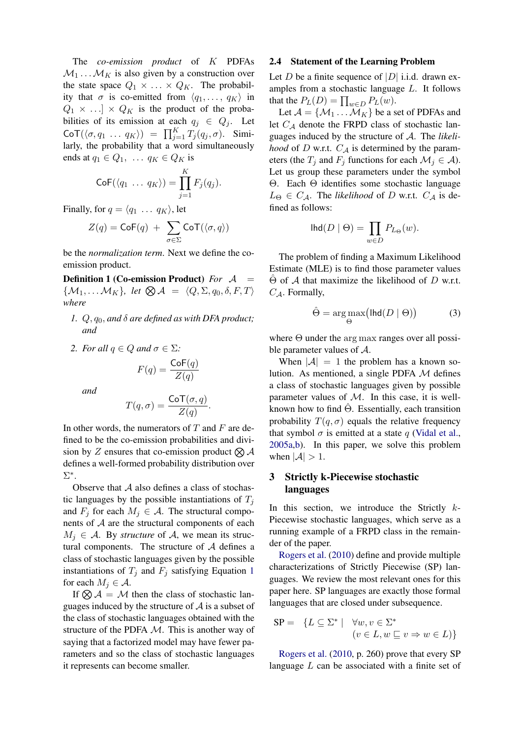The *co-emission product* of K PDFAs  $M_1 \dots M_K$  is also given by a construction over the state space  $Q_1 \times \ldots \times Q_K$ . The probability that  $\sigma$  is co-emitted from  $\langle q_1, \ldots, q_K \rangle$  in  $Q_1 \times ... \times Q_K$  is the product of the probabilities of its emission at each  $q_i \in Q_i$ . Let  $\text{CoT}(\langle \sigma, q_1 \ldots q_K \rangle) = \prod_{j=1}^K T_j(q_j, \sigma)$ . Similarly, the probability that a word simultaneously ends at  $q_1 \in Q_1$ , ...  $q_K \in Q_K$  is

$$
\mathsf{CoF}(\langle q_1 \ldots q_K \rangle) = \prod_{j=1}^K F_j(q_j).
$$

Finally, for  $q = \langle q_1 \dots q_K \rangle$ , let

$$
Z(q) = \mathsf{CoF}(q) + \sum_{\sigma \in \Sigma} \mathsf{CoT}(\langle \sigma, q \rangle)
$$

be the *normalization term*. Next we define the coemission product.

<span id="page-3-1"></span>Definition 1 (Co-emission Product) *For* A =  $\{\mathcal{M}_1, \ldots \mathcal{M}_K\}$ , let  $\bigotimes \mathcal{A} = \langle Q, \Sigma, q_0, \delta, F, T \rangle$ *where*

- *1.* Q, q0, *and* δ *are defined as with DFA product; and*
- *2. For all*  $q \in Q$  *and*  $\sigma \in \Sigma$ *:*

$$
F(q) = \frac{\text{CoF}(q)}{Z(q)}
$$

*and*

$$
T(q,\sigma) = \frac{\text{CoT}(\sigma, q)}{Z(q)}.
$$

In other words, the numerators of  $T$  and  $F$  are defined to be the co-emission probabilities and division by Z ensures that co-emission product  $\otimes A$ defines a well-formed probability distribution over Σ ∗ .

Observe that  $A$  also defines a class of stochastic languages by the possible instantiations of  $T_i$ and  $F_j$  for each  $M_j \in \mathcal{A}$ . The structural components of  $A$  are the structural components of each  $M_i \in \mathcal{A}$ . By *structure* of  $\mathcal{A}$ , we mean its structural components. The structure of A defines a class of stochastic languages given by the possible instantiations of  $T_j$  and  $F_j$  satisfying Equation [1](#page-2-1) for each  $M_i \in \mathcal{A}$ .

If  $\otimes A = M$  then the class of stochastic languages induced by the structure of  $A$  is a subset of the class of stochastic languages obtained with the structure of the PDFA M. This is another way of saying that a factorized model may have fewer parameters and so the class of stochastic languages it represents can become smaller.

### <span id="page-3-2"></span>2.4 Statement of the Learning Problem

Let D be a finite sequence of  $|D|$  i.i.d. drawn examples from a stochastic language L. It follows that the  $P_L(D) = \prod_{w \in D} P_L(w)$ .

Let  $A = \{M_1 \dots M_K\}$  be a set of PDFAs and let  $C_A$  denote the FRPD class of stochastic languages induced by the structure of A. The *likelihood* of D w.r.t.  $C_A$  is determined by the parameters (the  $T_i$  and  $F_j$  functions for each  $\mathcal{M}_j \in \mathcal{A}$ ). Let us group these parameters under the symbol Θ. Each Θ identifies some stochastic language  $L_{\Theta} \in C_A$ . The *likelihood* of D w.r.t.  $C_A$  is defined as follows:

$$
\text{Ind}(D \mid \Theta) = \prod_{w \in D} P_{L_{\Theta}}(w).
$$

The problem of finding a Maximum Likelihood Estimate (MLE) is to find those parameter values  $\Theta$  of A that maximize the likelihood of D w.r.t.  $C_A$ . Formally,

$$
\hat{\Theta} = \underset{\Theta}{\arg \max} \left( \text{lhd}(D \mid \Theta) \right) \tag{3}
$$

where  $\Theta$  under the arg max ranges over all possible parameter values of A.

When  $|\mathcal{A}| = 1$  the problem has a known solution. As mentioned, a single PDFA  $M$  defines a class of stochastic languages given by possible parameter values of  $M$ . In this case, it is wellknown how to find  $\hat{\Theta}$ . Essentially, each transition probability  $T(q, \sigma)$  equals the relative frequency that symbol  $\sigma$  is emitted at a state q [\(Vidal et al.,](#page-11-0) [2005a,](#page-11-0)[b\)](#page-11-1). In this paper, we solve this problem when  $|\mathcal{A}| > 1$ .

# <span id="page-3-0"></span>3 Strictly k-Piecewise stochastic languages

In this section, we introduce the Strictly  $k$ -Piecewise stochastic languages, which serve as a running example of a FRPD class in the remainder of the paper.

[Rogers et al.](#page-11-3) [\(2010\)](#page-11-3) define and provide multiple characterizations of Strictly Piecewise (SP) languages. We review the most relevant ones for this paper here. SP languages are exactly those formal languages that are closed under subsequence.

$$
SP = \{ L \subseteq \Sigma^* \mid \forall w, v \in \Sigma^* \newline (v \in L, w \sqsubseteq v \Rightarrow w \in L) \}
$$

[Rogers et al.](#page-11-3) [\(2010,](#page-11-3) p. 260) prove that every SP language  $L$  can be associated with a finite set of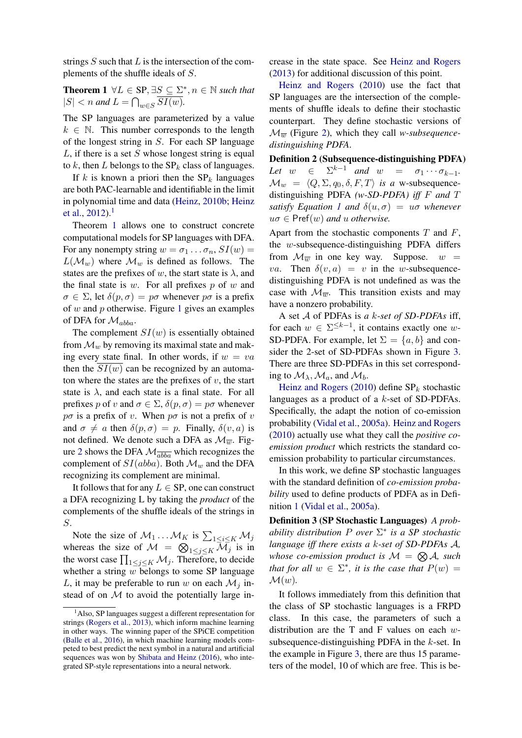strings  $S$  such that  $L$  is the intersection of the complements of the shuffle ideals of S.

**Theorem 1**  $\forall L \in \text{SP}, \exists S \subseteq \Sigma^*, n \in \mathbb{N}$  such that  $|S| < n$  and  $L = \bigcap_{w \in S} SI(w)$ .

The SP languages are parameterized by a value  $k \in \mathbb{N}$ . This number corresponds to the length of the longest string in S. For each SP language  $L$ , if there is a set S whose longest string is equal to  $k$ , then  $L$  belongs to the  $SP_k$  class of languages.

If k is known a priori then the  $SP_k$  languages are both PAC-learnable and identifiable in the limit in polynomial time and data [\(Heinz,](#page-11-13) [2010b;](#page-11-13) [Heinz](#page-11-14) [et al.,](#page-11-14)  $2012$  $2012$  $2012$ ).<sup>1</sup>

Theorem [1](#page-4-1) allows one to construct concrete computational models for SP languages with DFA. For any nonempty string  $w = \sigma_1 \dots \sigma_n$ ,  $SI(w) =$  $L(\mathcal{M}_w)$  where  $\mathcal{M}_w$  is defined as follows. The states are the prefixes of w, the start state is  $\lambda$ , and the final state is  $w$ . For all prefixes p of  $w$  and  $\sigma \in \Sigma$ , let  $\delta(p, \sigma) = p\sigma$  whenever  $p\sigma$  is a prefix of  $w$  and  $p$  otherwise. Figure [1](#page-5-1) gives an examples of DFA for  $\mathcal{M}_{abba}$ .

The complement  $SI(w)$  is essentially obtained from  $\mathcal{M}_w$  by removing its maximal state and making every state final. In other words, if  $w = va$ then the  $SI(w)$  can be recognized by an automaton where the states are the prefixes of  $v$ , the start state is  $\lambda$ , and each state is a final state. For all prefixes p of v and  $\sigma \in \Sigma$ ,  $\delta(p, \sigma) = p\sigma$  whenever  $p\sigma$  is a prefix of v. When  $p\sigma$  is not a prefix of v and  $\sigma \neq a$  then  $\delta(p, \sigma) = p$ . Finally,  $\delta(v, a)$  is not defined. We denote such a DFA as  $\mathcal{M}_{\overline{w}}$ . Fig-ure [2](#page-5-2) shows the DFA  $\mathcal{M}_{\overline{abba}}$  which recognizes the complement of  $SI(abba)$ . Both  $\mathcal{M}_w$  and the DFA recognizing its complement are minimal.

It follows that for any  $L \in \text{SP}$ , one can construct a DFA recognizing L by taking the *product* of the complements of the shuffle ideals of the strings in S.

Note the size of  $\mathcal{M}_1 \dots \mathcal{M}_K$  is  $\sum_{1 \le i \le K} \mathcal{M}_j$ whereas the size of  $\mathcal{M} = \bigotimes_{1 \leq j \leq K} \overline{\mathcal{M}}_j$  is in the worst case  $\prod_{1 \leq j \leq K} M_j$ . Therefore, to decide whether a string  $\overline{w}$  belongs to some SP language L, it may be preferable to run w on each  $\mathcal{M}_i$  instead of on  $M$  to avoid the potentially large in<span id="page-4-1"></span>crease in the state space. See [Heinz and Rogers](#page-11-16) [\(2013\)](#page-11-16) for additional discussion of this point.

[Heinz and Rogers](#page-11-8) [\(2010\)](#page-11-8) use the fact that SP languages are the intersection of the complements of shuffle ideals to define their stochastic counterpart. They define stochastic versions of  $\mathcal{M}_{\overline{w}}$  (Figure [2\)](#page-5-2), which they call *w-subsequencedistinguishing PDFA*.

Definition 2 (Subsequence-distinguishing PDFA) Let  $w \in \Sigma^{k-1}$  and  $w = \sigma_1 \cdots \sigma_{k-1}$ .  $\mathcal{M}_w = \langle Q, \Sigma, q_0, \delta, F, T \rangle$  *is a* w-subsequencedistinguishing PDFA *(w-SD-PDFA) iff* F *and* T *satisfy Equation [1](#page-2-1) and*  $\delta(u, \sigma) = u\sigma$  *whenever*  $u\sigma \in Pref(w)$  *and u otherwise.* 

Apart from the stochastic components  $T$  and  $F$ , the w-subsequence-distinguishing PDFA differs from  $\mathcal{M}_{\overline{w}}$  in one key way. Suppose.  $w =$ va. Then  $\delta(v, a) = v$  in the w-subsequencedistinguishing PDFA is not undefined as was the case with  $\mathcal{M}_{\overline{w}}$ . This transition exists and may have a nonzero probability.

A set A of PDFAs is *a* k*-set of SD-PDFAs* iff, for each  $w \in \Sigma^{\leq k-1}$ , it contains exactly one w-SD-PDFA. For example, let  $\Sigma = \{a, b\}$  and consider the 2-set of SD-PDFAs shown in Figure [3.](#page-6-0) There are three SD-PDFAs in this set corresponding to  $\mathcal{M}_{\lambda}$ ,  $\mathcal{M}_{a}$ , and  $\mathcal{M}_{b}$ .

[Heinz and Rogers](#page-11-8) [\(2010\)](#page-11-8) define  $SP_k$  stochastic languages as a product of a k-set of SD-PDFAs. Specifically, the adapt the notion of co-emission probability [\(Vidal et al.,](#page-11-0) [2005a\)](#page-11-0). [Heinz and Rogers](#page-11-8) [\(2010\)](#page-11-8) actually use what they call the *positive coemission product* which restricts the standard coemission probability to particular circumstances.

In this work, we define SP stochastic languages with the standard definition of *co-emission probability* used to define products of PDFA as in Definition [1](#page-3-1) [\(Vidal et al.,](#page-11-0) [2005a\)](#page-11-0).

<span id="page-4-2"></span>Definition 3 (SP Stochastic Languages) *A probability distribution* P *over* Σ ∗ *is a SP stochastic language iff there exists a* k*-set of SD-PDFAs* A*,* whose co-emission product is  $\mathcal{M} = \bigotimes \mathcal{A}$ , such *that for all*  $w \in \Sigma^*$ *, it is the case that*  $P(w) =$  $\mathcal{M}(w)$ .

It follows immediately from this definition that the class of SP stochastic languages is a FRPD class. In this case, the parameters of such a distribution are the T and F values on each  $w$ subsequence-distinguishing PDFA in the  $k$ -set. In the example in Figure [3,](#page-6-0) there are thus 15 parameters of the model, 10 of which are free. This is be-

<span id="page-4-0"></span><sup>&</sup>lt;sup>1</sup>Also, SP languages suggest a different representation for strings [\(Rogers et al.,](#page-11-5) [2013\)](#page-11-5), which inform machine learning in other ways. The winning paper of the SPiCE competition [\(Balle et al.,](#page-10-2) [2016\)](#page-10-2), in which machine learning models competed to best predict the next symbol in a natural and artificial sequences was won by [Shibata and Heinz](#page-11-15) [\(2016\)](#page-11-15), who integrated SP-style representations into a neural network.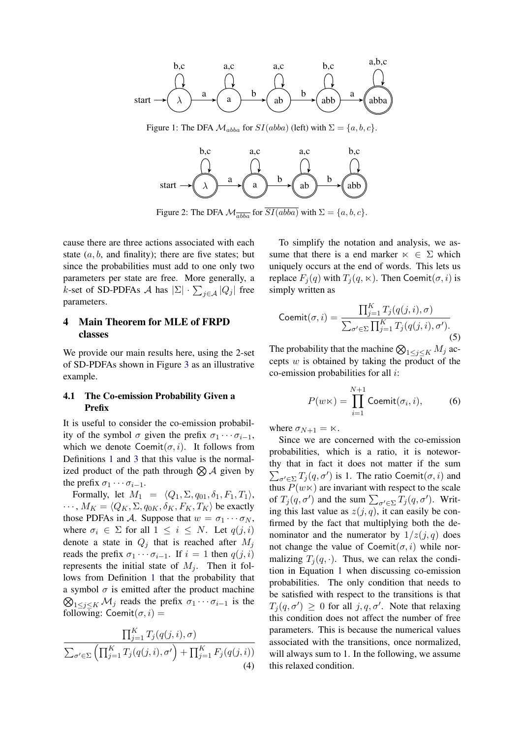<span id="page-5-1"></span>

<span id="page-5-2"></span>Figure 1: The DFA  $\mathcal{M}_{abba}$  for  $SI(abba)$  (left) with  $\Sigma = \{a, b, c\}.$ 



Figure 2: The DFA  $\mathcal{M}_{\overline{abba}}$  for  $\overline{SI(abba)}$  with  $\Sigma = \{a, b, c\}.$ 

cause there are three actions associated with each state  $(a, b, a$  and finality); there are five states; but since the probabilities must add to one only two parameters per state are free. More generally, a *k*-set of SD-PDFAs *A* has  $|\Sigma| \cdot \sum_{j \in A} |Q_j|$  free parameters.

### <span id="page-5-0"></span>4 Main Theorem for MLE of FRPD classes

We provide our main results here, using the 2-set of SD-PDFAs shown in Figure [3](#page-6-0) as an illustrative example.

### 4.1 The Co-emission Probability Given a Prefix

It is useful to consider the co-emission probability of the symbol  $\sigma$  given the prefix  $\sigma_1 \cdots \sigma_{i-1}$ , which we denote  $\text{Comit}(\sigma, i)$ . It follows from Definitions [1](#page-3-1) and [3](#page-4-2) that this value is the normalized product of the path through  $\otimes A$  given by the prefix  $\sigma_1 \cdots \sigma_{i-1}$ .

Formally, let  $M_1 = \langle Q_1, \Sigma, q_{01}, \delta_1, F_1, T_1 \rangle$ ,  $\cdots$ ,  $M_K = \langle Q_K, \Sigma, q_{0K}, \delta_K, F_K, T_K \rangle$  be exactly those PDFAs in A. Suppose that  $w = \sigma_1 \cdots \sigma_N$ , where  $\sigma_i \in \Sigma$  for all  $1 \leq i \leq N$ . Let  $q(j, i)$ denote a state in  $Q_i$  that is reached after  $M_i$ reads the prefix  $\sigma_1 \cdots \sigma_{i-1}$ . If  $i = 1$  then  $q(j, i)$ represents the initial state of  $M_i$ . Then it follows from Definition [1](#page-3-1) that the probability that a symbol  $\sigma$  is emitted after the product machine  $\bigotimes_{1 \leq j \leq K} \mathcal{M}_j$  reads the prefix  $\sigma_1 \cdots \sigma_{i-1}$  is the following: Coemit $(\sigma, i)$  =

$$
\frac{\prod_{j=1}^{K}T_j(q(j,i),\sigma)}{\sum_{\sigma' \in \Sigma} \left(\prod_{j=1}^{K}T_j(q(j,i),\sigma') + \prod_{j=1}^{K}F_j(q(j,i))\right)}
$$
\n(4)

To simplify the notation and analysis, we assume that there is a end marker  $\kappa \in \Sigma$  which uniquely occurs at the end of words. This lets us replace  $F_j(q)$  with  $T_j(q, \kappa)$ . Then Coemit $(\sigma, i)$  is simply written as

<span id="page-5-4"></span>
$$
\text{Coemit}(\sigma, i) = \frac{\prod_{j=1}^{K} T_j(q(j, i), \sigma)}{\sum_{\sigma' \in \Sigma} \prod_{j=1}^{K} T_j(q(j, i), \sigma')}.
$$
\n(5)

The probability that the machine  $\bigotimes_{1 \leq j \leq K} M_j$  accepts  $w$  is obtained by taking the product of the co-emission probabilities for all i:

<span id="page-5-3"></span>
$$
P(w \ltimes) = \prod_{i=1}^{N+1} \text{Coeff}(\sigma_i, i), \tag{6}
$$

where  $\sigma_{N+1} = \kappa$ .

Since we are concerned with the co-emission probabilities, which is a ratio, it is noteworthy that in fact it does not matter if the sum  $\sum_{\sigma' \in \Sigma} T_j(q, \sigma')$  is 1. The ratio Coemit $(\sigma, i)$  and thus  $P(w \times)$  are invariant with respect to the scale of  $T_j(q, \sigma')$  and the sum  $\sum_{\sigma' \in \Sigma} T_j(q, \sigma')$ . Writing this last value as  $z(j, q)$ , it can easily be confirmed by the fact that multiplying both the denominator and the numerator by  $1/z(j, q)$  does not change the value of Coemit $(\sigma, i)$  while normalizing  $T_i(q, \cdot)$ . Thus, we can relax the condition in Equation [1](#page-2-1) when discussing co-emission probabilities. The only condition that needs to be satisfied with respect to the transitions is that  $T_j(q, \sigma') \geq 0$  for all  $j, q, \sigma'$ . Note that relaxing this condition does not affect the number of free parameters. This is because the numerical values associated with the transitions, once normalized, will always sum to 1. In the following, we assume this relaxed condition.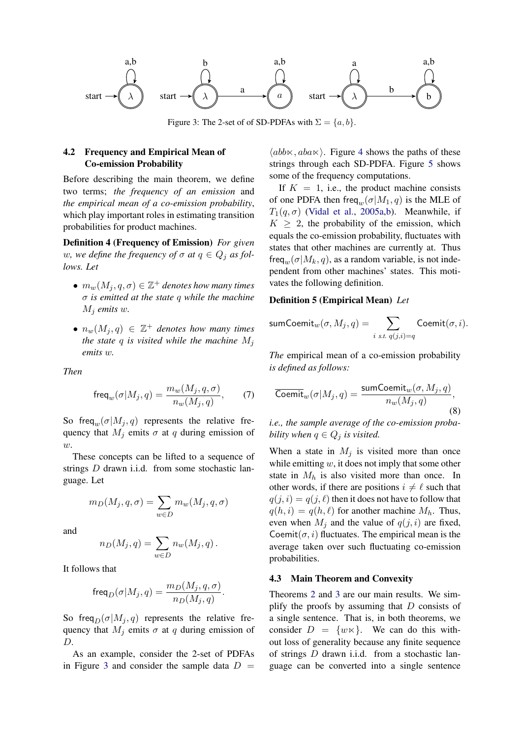<span id="page-6-0"></span>

Figure 3: The 2-set of of SD-PDFAs with  $\Sigma = \{a, b\}.$ 

# 4.2 Frequency and Empirical Mean of Co-emission Probability

Before describing the main theorem, we define two terms; *the frequency of an emission* and *the empirical mean of a co-emission probability*, which play important roles in estimating transition probabilities for product machines.

<span id="page-6-1"></span>Definition 4 (Frequency of Emission) *For given* w, we define the frequency of  $\sigma$  at  $q \in Q_i$  as fol*lows. Let*

- $m_w(M_j, q, \sigma) \in \mathbb{Z}^+$  denotes how many times σ *is emitted at the state* q *while the machine*  $M_i$  *emits* w.
- $n_w(M_j, q) \in \mathbb{Z}^+$  denotes how many times *the state* q *is visited while the machine*  $M_i$ *emits* w*.*

<span id="page-6-2"></span>*Then*

$$
\mathsf{freq}_w(\sigma|M_j, q) = \frac{m_w(M_j, q, \sigma)}{n_w(M_j, q)},\tag{7}
$$

So freq<sub>w</sub> $(\sigma|M_j, q)$  represents the relative frequency that  $M_j$  emits  $\sigma$  at q during emission of w.

These concepts can be lifted to a sequence of strings D drawn i.i.d. from some stochastic language. Let

$$
m_D(M_j, q, \sigma) = \sum_{w \in D} m_w(M_j, q, \sigma)
$$

and

$$
n_D(M_j, q) = \sum_{w \in D} n_w(M_j, q).
$$

It follows that

$$
\operatorname{freq}_D(\sigma|M_j,q)=\frac{m_D(M_j,q,\sigma)}{n_D(M_j,q)}.
$$

So freq $D(\sigma|M_i, q)$  represents the relative frequency that  $M_i$  emits  $\sigma$  at q during emission of D.

As an example, consider the 2-set of PDFAs in Figure [3](#page-6-0) and consider the sample data  $D =$ 

 $\langle abb \times aba \times \rangle$ . Figure [4](#page-7-1) shows the paths of these strings through each SD-PDFA. Figure [5](#page-7-2) shows some of the frequency computations.

If  $K = 1$ , i.e., the product machine consists of one PDFA then freq<sub>w</sub> $(\sigma|M_1, q)$  is the MLE of  $T_1(q, \sigma)$  [\(Vidal et al.,](#page-11-0) [2005a](#page-11-0)[,b\)](#page-11-1). Meanwhile, if  $K \geq 2$ , the probability of the emission, which equals the co-emission probability, fluctuates with states that other machines are currently at. Thus  $freq_w(\sigma|M_k, q)$ , as a random variable, is not independent from other machines' states. This motivates the following definition.

#### Definition 5 (Empirical Mean) *Let*

$$
\textsf{sumCount}_{w}(\sigma, M_j, q) = \sum_{i \text{ s.t. } q(j,i) = q} \textsf{Coeff}(\sigma, i).
$$

*The* empirical mean of a co-emission probability *is defined as follows:*

<span id="page-6-3"></span>
$$
\overline{\text{Coemit}}_w(\sigma|M_j, q) = \frac{\text{sumComit}_w(\sigma, M_j, q)}{n_w(M_j, q)},
$$
\n(8)

*i.e., the sample average of the co-emission probability when*  $q \in Q_j$  *is visited.* 

When a state in  $M_i$  is visited more than once while emitting  $w$ , it does not imply that some other state in  $M_h$  is also visited more than once. In other words, if there are positions  $i \neq \ell$  such that  $q(j, i) = q(j, \ell)$  then it does not have to follow that  $q(h, i) = q(h, \ell)$  for another machine  $M_h$ . Thus, even when  $M_i$  and the value of  $q(j, i)$  are fixed, Coemit $(\sigma, i)$  fluctuates. The empirical mean is the average taken over such fluctuating co-emission probabilities.

#### 4.3 Main Theorem and Convexity

Theorems [2](#page-7-0) and [3](#page-9-0) are our main results. We simplify the proofs by assuming that  $D$  consists of a single sentence. That is, in both theorems, we consider  $D = \{w \times\}$ . We can do this without loss of generality because any finite sequence of strings  $D$  drawn i.i.d. from a stochastic language can be converted into a single sentence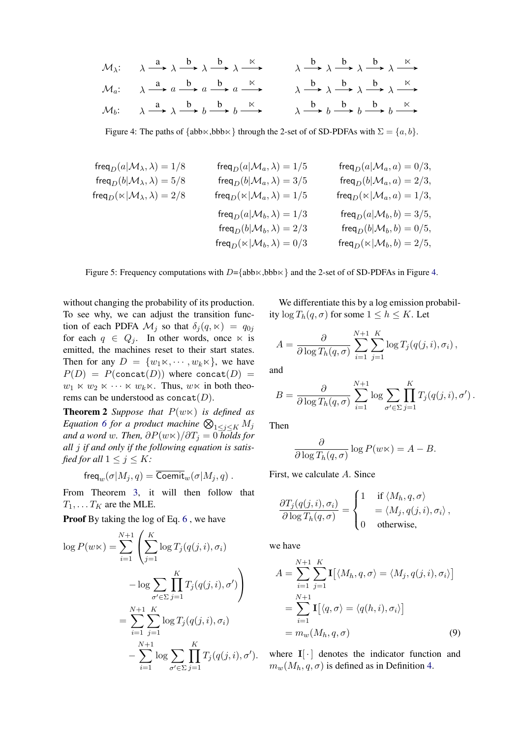<span id="page-7-1"></span>
$$
\mathcal{M}_{\lambda}: \quad \lambda \xrightarrow{a} \lambda \xrightarrow{b} \lambda \xrightarrow{b} \lambda \xrightarrow{\kappa} \quad \lambda \xrightarrow{b} \lambda \xrightarrow{b} \lambda \xrightarrow{\kappa} \lambda \xrightarrow{a}
$$
\n
$$
\mathcal{M}_{a}: \quad \lambda \xrightarrow{a} a \xrightarrow{b} a \xrightarrow{b} a \xrightarrow{\kappa} \quad \lambda \xrightarrow{b} \lambda \xrightarrow{b} \lambda \xrightarrow{\kappa} \lambda \xrightarrow{a}
$$
\n
$$
\mathcal{M}_{b}: \quad \lambda \xrightarrow{a} \lambda \xrightarrow{b} b \xrightarrow{b} b \xrightarrow{\kappa} \quad \lambda \xrightarrow{b} b \xrightarrow{b} b \xrightarrow{b} b \xrightarrow{\kappa}
$$

Figure 4: The paths of  $\{abb \times, bbb \times\}$  through the 2-set of of SD-PDFAs with  $\Sigma = \{a, b\}$ .

<span id="page-7-2"></span>
$$
\begin{array}{lcl} \mathsf{freq}_D(a|\mathcal{M}_{\lambda},\lambda)=1/8 & & \mathsf{freq}_D(a|\mathcal{M}_{a},\lambda)=1/5 & & \mathsf{freq}_D(a|\mathcal{M}_{a},a)=0/3, \\ \mathsf{freq}_D(b|\mathcal{M}_{\lambda},\lambda)=5/8 & & \mathsf{freq}_D(b|\mathcal{M}_{a},\lambda)=3/5 & & \mathsf{freq}_D(b|\mathcal{M}_{a},a)=2/3, \\ \mathsf{freq}_D(\ltimes|\mathcal{M}_{\lambda},\lambda)=2/8 & & \mathsf{freq}_D(\ltimes|\mathcal{M}_{a},\lambda)=1/5 & & \mathsf{freq}_D(\ltimes|\mathcal{M}_{a},a)=1/3, \\ & & \mathsf{freq}_D(a|\mathcal{M}_{b},\lambda)=1/3 & & \mathsf{freq}_D(a|\mathcal{M}_{b},b)=3/5, \\ & & \mathsf{freq}_D(b|\mathcal{M}_{b},\lambda)=2/3 & & \mathsf{freq}_D(b|\mathcal{M}_{b},b)=0/5, \\ & & \mathsf{freq}_D(\ltimes|\mathcal{M}_{b},\lambda)=0/3 & & \mathsf{freq}_D(\ltimes|\mathcal{M}_{b},b)=2/5, \end{array}
$$

Figure 5: Frequency computations with  $D=\{\text{abb}\times,\text{bbb}\times\}$  and the 2-set of of SD-PDFAs in Figure [4.](#page-7-1)

without changing the probability of its production. To see why, we can adjust the transition function of each PDFA  $\mathcal{M}_i$  so that  $\delta_i(q, \kappa) = q_{0i}$ for each  $q \in Q_i$ . In other words, once  $\ltimes$  is emitted, the machines reset to their start states. Then for any  $D = \{w_1 \times, \cdots, w_k \times\}$ , we have  $P(D) = P(\text{concat}(D))$  where concat $(D) =$  $w_1 \ltimes w_2 \ltimes \cdots \ltimes w_k \ltimes$ . Thus,  $w \ltimes$  in both theorems can be understood as  $concat(D)$ .

<span id="page-7-0"></span>**Theorem 2** *Suppose that*  $P(w \times)$  *is defined as* Equation [6](#page-5-3) for a product machine  $\bigotimes_{1 \leq j \leq K} M_j$ *and a word w. Then,*  $\partial P(w \ltimes)/\partial T_i = 0$  *holds for all* j *if and only if the following equation is satisfied for all*  $1 \leq j \leq K$ *:* 

$$
\mathsf{freq}_w(\sigma|M_j,q)=\overline{\mathsf{Coemit}}_w(\sigma|M_j,q)\ .
$$

From Theorem [3,](#page-9-0) it will then follow that  $T_1, \ldots T_K$  are the MLE.

Proof By taking the log of Eq. [6](#page-5-3), we have

$$
\log P(w \times) = \sum_{i=1}^{N+1} \left( \sum_{j=1}^{K} \log T_j(q(j, i), \sigma_i) - \log \sum_{\sigma' \in \Sigma} \prod_{j=1}^{K} T_j(q(j, i), \sigma') \right)
$$
  
= 
$$
\sum_{i=1}^{N+1} \sum_{j=1}^{K} \log T_j(q(j, i), \sigma_i) - \sum_{i=1}^{N+1} \log \sum_{\sigma' \in \Sigma} \prod_{j=1}^{K} T_j(q(j, i), \sigma').
$$

We differentiate this by a log emission probability  $\log T_h(q, \sigma)$  for some  $1 \leq h \leq K$ . Let

$$
A = \frac{\partial}{\partial \log T_h(q, \sigma)} \sum_{i=1}^{N+1} \sum_{j=1}^K \log T_j(q(j, i), \sigma_i),
$$

and

$$
B = \frac{\partial}{\partial \log T_h(q, \sigma)} \sum_{i=1}^{N+1} \log \sum_{\sigma' \in \Sigma} \prod_{j=1}^K T_j(q(j, i), \sigma').
$$

Then

$$
\frac{\partial}{\partial \log T_h(q,\sigma)} \log P(w \ltimes) = A - B.
$$

First, we calculate A. Since

$$
\frac{\partial T_j(q(j,i),\sigma_i)}{\partial \log T_h(q,\sigma)} = \begin{cases} 1 & \text{if } \langle M_h, q, \sigma \rangle \\ = \langle M_j, q(j,i), \sigma_i \rangle \\ 0 & \text{otherwise,} \end{cases}
$$

we have

$$
A = \sum_{i=1}^{N+1} \sum_{j=1}^{K} \mathbf{I} [\langle M_h, q, \sigma \rangle = \langle M_j, q(j, i), \sigma_i \rangle]
$$
  
= 
$$
\sum_{i=1}^{N+1} \mathbf{I} [\langle q, \sigma \rangle = \langle q(h, i), \sigma_i \rangle]
$$
  
= 
$$
m_w(M_h, q, \sigma)
$$
 (9)

<span id="page-7-3"></span>where  $\mathbf{I}[\cdot]$  denotes the indicator function and  $m_w(M_h, q, \sigma)$  is defined as in Definition [4.](#page-6-1)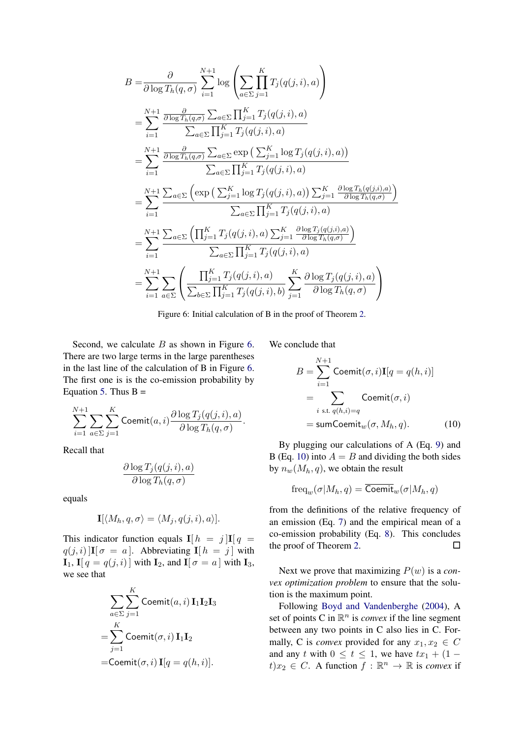<span id="page-8-0"></span>
$$
B = \frac{\partial}{\partial \log T_h(q, \sigma)} \sum_{i=1}^{N+1} \log \left( \sum_{a \in \Sigma} \prod_{j=1}^K T_j(q(j, i), a) \right)
$$
  
\n
$$
= \sum_{i=1}^{N+1} \frac{\frac{\partial}{\partial \log T_h(q, \sigma)} \sum_{a \in \Sigma} \prod_{j=1}^K T_j(q(j, i), a)}{\sum_{a \in \Sigma} \prod_{j=1}^K T_j(q(j, i), a)}
$$
  
\n
$$
= \sum_{i=1}^{N+1} \frac{\frac{\partial}{\partial \log T_h(q, \sigma)} \sum_{a \in \Sigma} \exp \left( \sum_{j=1}^K \log T_j(q(j, i), a) \right)}{\sum_{a \in \Sigma} \prod_{j=1}^K T_j(q(j, i), a)}
$$
  
\n
$$
= \sum_{i=1}^{N+1} \frac{\sum_{a \in \Sigma} \left( \exp \left( \sum_{j=1}^K \log T_j(q(j, i), a) \right) \sum_{j=1}^K \frac{\partial \log T_h(q(j, i), a)}{\partial \log T_h(q, \sigma)} \right)}{\sum_{a \in \Sigma} \prod_{j=1}^K T_j(q(j, i), a)}
$$
  
\n
$$
= \sum_{i=1}^{N+1} \frac{\sum_{a \in \Sigma} \left( \prod_{j=1}^K T_j(q(j, i), a) \sum_{j=1}^K \frac{\partial \log T_j(q(j, i), a)}{\partial \log T_h(q, \sigma)} \right)}{\sum_{a \in \Sigma} \prod_{j=1}^K T_j(q(j, i), a)}
$$
  
\n
$$
= \sum_{i=1}^{N+1} \sum_{a \in \Sigma} \left( \frac{\prod_{j=1}^K T_j(q(j, i), a)}{\sum_{b \in \Sigma} \prod_{j=1}^K T_j(q(j, i), b)} \sum_{j=1}^K \frac{\partial \log T_j(q(j, i), a)}{\partial \log T_h(q, \sigma)} \right)
$$

Figure 6: Initial calculation of B in the proof of Theorem [2.](#page-7-0)

Second, we calculate  $B$  as shown in Figure [6.](#page-8-0) There are two large terms in the large parentheses in the last line of the calculation of B in Figure [6.](#page-8-0) The first one is is the co-emission probability by Equation [5.](#page-5-4) Thus  $B =$ 

$$
\sum_{i=1}^{N+1} \sum_{a \in \Sigma} \sum_{j=1}^{K} \text{Coeff}(a, i) \frac{\partial \log T_j(q(j, i), a)}{\partial \log T_h(q, \sigma)}.
$$

Recall that

$$
\frac{\partial \log T_j(q(j,i),a)}{\partial \log T_h(q,\sigma)}
$$

equals

$$
\mathbf{I}[\langle M_h, q, \sigma \rangle = \langle M_j, q(j, i), a \rangle].
$$

This indicator function equals  $I[h = j]I[q = j]$  $q(j, i)$   $\left| \mathbf{I} \right| \sigma = a$ . Abbreviating  $\mathbf{I} \left[ h = j \right]$  with  $\mathbf{I}_1$ ,  $\mathbf{I}[q = q(j, i)]$  with  $\mathbf{I}_2$ , and  $\mathbf{I}[\sigma = a]$  with  $\mathbf{I}_3$ , we see that

$$
\sum_{a \in \Sigma} \sum_{j=1}^{K} \text{Coeff}(a, i) \mathbf{I}_{1} \mathbf{I}_{2} \mathbf{I}_{3}
$$

$$
= \sum_{j=1}^{K} \text{Coeff}(\sigma, i) \mathbf{I}_{1} \mathbf{I}_{2}
$$

$$
= \text{Coeff}(\sigma, i) \mathbf{I}_{2} = q(h, i).
$$

We conclude that

<span id="page-8-1"></span>
$$
B = \sum_{i=1}^{N+1} \text{Coeff}(\sigma, i) \mathbf{I}[q = q(h, i)]
$$
  
= 
$$
\sum_{i \text{ s.t. } q(h, i) = q} \text{Coeff}(\sigma, i)
$$
  
= sumCommite<sub>w</sub>( $\sigma, M_h, q$ ). (10)

By plugging our calculations of A (Eq. [9\)](#page-7-3) and B (Eq. [10\)](#page-8-1) into  $A = B$  and dividing the both sides by  $n_w(M_h, q)$ , we obtain the result

$$
\text{freq}_w(\sigma | M_h, q) = \overline{\text{Coemit}}_w(\sigma | M_h, q)
$$

from the definitions of the relative frequency of an emission (Eq. [7\)](#page-6-2) and the empirical mean of a co-emission probability (Eq. [8\)](#page-6-3). This concludes the proof of Theorem [2.](#page-7-0)

Next we prove that maximizing P(w) is a *convex optimization problem* to ensure that the solution is the maximum point.

Following [Boyd and Vandenberghe](#page-10-3) [\(2004\)](#page-10-3), A set of points C in  $\mathbb{R}^n$  is *convex* if the line segment between any two points in C also lies in C. Formally, C is *convex* provided for any  $x_1, x_2 \in C$ and any t with  $0 \le t \le 1$ , we have  $tx_1 + (1$  $t)x_2 \in C$ . A function  $f : \mathbb{R}^n \to \mathbb{R}$  is *convex* if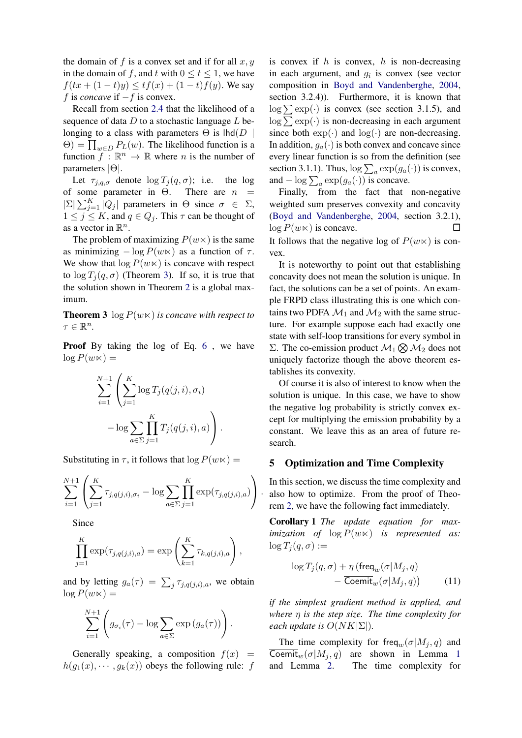the domain of f is a convex set and if for all  $x, y$ in the domain of f, and t with  $0 \le t \le 1$ , we have  $f(tx+(1-t)y) \le tf(x) + (1-t)f(y)$ . We say f is *concave* if −f is convex.

Recall from section [2.4](#page-3-2) that the likelihood of a sequence of data  $D$  to a stochastic language  $L$  belonging to a class with parameters  $\Theta$  is lhd( $D \parallel$  $\Theta$ ) =  $\prod_{w \in D} P_L(w)$ . The likelihood function is a function  $f: \mathbb{R}^n \to \mathbb{R}$  where *n* is the number of parameters |Θ|.

Let  $\tau_{i,q,\sigma}$  denote  $\log T_i(q,\sigma)$ ; i.e. the log of some parameter in  $\Theta$ . There are  $n =$  $|\Sigma|\sum_{j=1}^K |Q_j|$  parameters in  $\Theta$  since  $\sigma \in \Sigma$ ,  $1 \leq j \leq K$ , and  $q \in Q_j$ . This  $\tau$  can be thought of as a vector in  $\mathbb{R}^n$ .

The problem of maximizing  $P(w \ltimes)$  is the same as minimizing  $-\log P(w \ltimes)$  as a function of  $\tau$ . We show that  $\log P(w \times)$  is concave with respect to  $\log T_i(q, \sigma)$  (Theorem [3\)](#page-9-0). If so, it is true that the solution shown in Theorem [2](#page-7-0) is a global maximum.

<span id="page-9-0"></span>**Theorem 3**  $\log P(w \times)$  *is concave with respect to*  $\tau \in \mathbb{R}^n$ .

Proof By taking the log of Eq. [6](#page-5-3), we have  $\log P(w \ltimes) =$ 

$$
\sum_{i=1}^{N+1} \left( \sum_{j=1}^K \log T_j(q(j,i), \sigma_i) - \log \sum_{a \in \Sigma} \prod_{j=1}^K T_j(q(j,i), a) \right).
$$

Substituting in  $\tau$ , it follows that  $\log P(w \ltimes)$  =

$$
\sum_{i=1}^{N+1} \left( \sum_{j=1}^{K} \tau_{j,q(j,i),\sigma_i} - \log \sum_{a \in \Sigma} \prod_{j=1}^{K} \exp(\tau_{j,q(j,i),a}) \right).
$$

Since

$$
\prod_{j=1}^{K} \exp(\tau_{j,q(j,i),a}) = \exp\left(\sum_{k=1}^{K} \tau_{k,q(j,i),a}\right),
$$

and by letting  $g_a(\tau) = \sum_j \tau_{j,q(j,i),a}$ , we obtain  $\log P(w \ltimes) =$ 

$$
\sum_{i=1}^{N+1} \left( g_{\sigma_i}(\tau) - \log \sum_{a \in \Sigma} \exp (g_a(\tau)) \right).
$$

Generally speaking, a composition  $f(x) =$  $h(g_1(x), \dots, g_k(x))$  obeys the following rule: f

is convex if  $h$  is convex,  $h$  is non-decreasing in each argument, and  $g_i$  is convex (see vector composition in [Boyd and Vandenberghe,](#page-10-3) [2004,](#page-10-3) section 3.2.4)). Furthermore, it is known that  $\log \sum \exp(\cdot)$  is convex (see section 3.1.5), and  $\log \sum \exp(\cdot)$  is non-decreasing in each argument since both  $\exp(\cdot)$  and  $\log(\cdot)$  are non-decreasing. In addition,  $g_a(\cdot)$  is both convex and concave since every linear function is so from the definition (see section 3.1.1). Thus,  $\log \sum_a \exp(g_a(\cdot))$  is convex, and  $-\log \sum_a \exp(g_a(\cdot))$  is concave.

Finally, from the fact that non-negative weighted sum preserves convexity and concavity [\(Boyd and Vandenberghe,](#page-10-3) [2004,](#page-10-3) section 3.2.1),  $\log P(w \times)$  is concave. It follows that the negative log of  $P(w \ltimes)$  is convex.

It is noteworthy to point out that establishing concavity does not mean the solution is unique. In fact, the solutions can be a set of points. An example FRPD class illustrating this is one which contains two PDFA  $\mathcal{M}_1$  and  $\mathcal{M}_2$  with the same structure. For example suppose each had exactly one state with self-loop transitions for every symbol in Σ. The co-emission product  $\mathcal{M}_1 \otimes \mathcal{M}_2$  does not uniquely factorize though the above theorem establishes its convexity.

Of course it is also of interest to know when the solution is unique. In this case, we have to show the negative log probability is strictly convex except for multiplying the emission probability by a constant. We leave this as an area of future research.

#### <span id="page-9-1"></span>5 Optimization and Time Complexity

In this section, we discuss the time complexity and also how to optimize. From the proof of Theorem [2,](#page-7-0) we have the following fact immediately.

Corollary 1 *The update equation for maximization of*  $log P(w \times)$  *is represented as:*  $\log T_i(q, \sigma) :=$ 

$$
\log T_j(q, \sigma) + \eta \left( \text{freq}_w(\sigma | M_j, q) - \overline{\text{Coemit}}_w(\sigma | M_j, q) \right)
$$
 (11)

*if the simplest gradient method is applied, and where* η *is the step size. The time complexity for each update is*  $O(NK|\Sigma|)$ *.* 

The time complexity for freq<sub>w</sub>( $\sigma$ |M<sub>j</sub>, q) and Coemit<sub>w</sub> $(\sigma|M_i, q)$  are shown in Lemma [1](#page-10-4) and Lemma [2.](#page-10-5) The time complexity for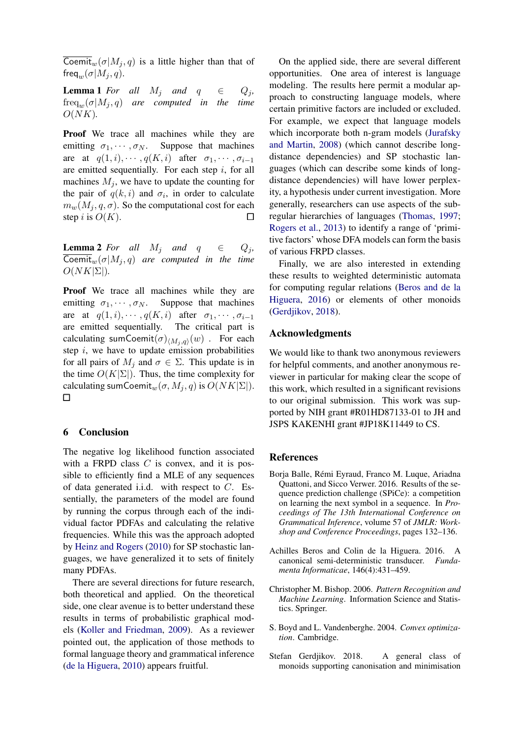Coemit<sub>w</sub>( $\sigma|M_j, q$ ) is a little higher than that of freq<sub>w</sub> $(\sigma|M_i, q)$ .

<span id="page-10-4"></span>**Lemma 1** *For all*  $M_j$  *and*  $q \in Q_j$ ,  $freq_w(\sigma|M_j, q)$  are computed in the time  $O(NK)$ .

Proof We trace all machines while they are emitting  $\sigma_1, \cdots, \sigma_N$ . Suppose that machines are at  $q(1, i), \cdots, q(K, i)$  after  $\sigma_1, \cdots, \sigma_{i-1}$ are emitted sequentially. For each step  $i$ , for all machines  $M_i$ , we have to update the counting for the pair of  $q(k, i)$  and  $\sigma_i$ , in order to calculate  $m_w(M_i, q, \sigma)$ . So the computational cost for each step i is  $O(K)$ .

<span id="page-10-5"></span>**Lemma 2** *For all*  $M_i$  *and*  $q \in Q_i$ ,  $\overline{\text{Comit}}_w(\sigma|M_j, q)$  are computed in the time  $O(NK|\Sigma|)$ .

Proof We trace all machines while they are emitting  $\sigma_1, \cdots, \sigma_N$ . Suppose that machines are at  $q(1, i), \cdots, q(K, i)$  after  $\sigma_1, \cdots, \sigma_{i-1}$ are emitted sequentially. The critical part is calculating sumCoemit $(\sigma)_{\langle M_j, q\rangle}(w)$  . For each step  $i$ , we have to update emission probabilities for all pairs of  $M_i$  and  $\sigma \in \Sigma$ . This update is in the time  $O(K|\Sigma|)$ . Thus, the time complexity for calculating sumCoemit<sub>w</sub> $(\sigma, M_j, q)$  is  $O(NK|\Sigma|)$ .  $\Box$ 

### <span id="page-10-1"></span>6 Conclusion

The negative log likelihood function associated with a FRPD class  $C$  is convex, and it is possible to efficiently find a MLE of any sequences of data generated i.i.d. with respect to  $C$ . Essentially, the parameters of the model are found by running the corpus through each of the individual factor PDFAs and calculating the relative frequencies. While this was the approach adopted by [Heinz and Rogers](#page-11-8) [\(2010\)](#page-11-8) for SP stochastic languages, we have generalized it to sets of finitely many PDFAs.

There are several directions for future research, both theoretical and applied. On the theoretical side, one clear avenue is to better understand these results in terms of probabilistic graphical models [\(Koller and Friedman,](#page-11-2) [2009\)](#page-11-2). As a reviewer pointed out, the application of those methods to formal language theory and grammatical inference [\(de la Higuera,](#page-11-17) [2010\)](#page-11-17) appears fruitful.

On the applied side, there are several different opportunities. One area of interest is language modeling. The results here permit a modular approach to constructing language models, where certain primitive factors are included or excluded. For example, we expect that language models which incorporate both n-gram models [\(Jurafsky](#page-11-9) [and Martin,](#page-11-9) [2008\)](#page-11-9) (which cannot describe longdistance dependencies) and SP stochastic languages (which can describe some kinds of longdistance dependencies) will have lower perplexity, a hypothesis under current investigation. More generally, researchers can use aspects of the subregular hierarchies of languages [\(Thomas,](#page-11-18) [1997;](#page-11-18) [Rogers et al.,](#page-11-5) [2013\)](#page-11-5) to identify a range of 'primitive factors' whose DFA models can form the basis of various FRPD classes.

Finally, we are also interested in extending these results to weighted deterministic automata for computing regular relations [\(Beros and de la](#page-10-6) [Higuera,](#page-10-6) [2016\)](#page-10-6) or elements of other monoids [\(Gerdjikov,](#page-10-7) [2018\)](#page-10-7).

### Acknowledgments

We would like to thank two anonymous reviewers for helpful comments, and another anonymous reviewer in particular for making clear the scope of this work, which resulted in a significant revisions to our original submission. This work was supported by NIH grant #R01HD87133-01 to JH and JSPS KAKENHI grant #JP18K11449 to CS.

### References

- <span id="page-10-2"></span>Borja Balle, Remi Eyraud, Franco M. Luque, Ariadna ´ Quattoni, and Sicco Verwer. 2016. Results of the sequence prediction challenge (SPiCe): a competition on learning the next symbol in a sequence. In *Proceedings of The 13th International Conference on Grammatical Inference*, volume 57 of *JMLR: Workshop and Conference Proceedings*, pages 132–136.
- <span id="page-10-6"></span>Achilles Beros and Colin de la Higuera. 2016. A canonical semi-deterministic transducer. *Fundamenta Informaticae*, 146(4):431–459.
- <span id="page-10-0"></span>Christopher M. Bishop. 2006. *Pattern Recognition and Machine Learning*. Information Science and Statistics. Springer.
- <span id="page-10-3"></span>S. Boyd and L. Vandenberghe. 2004. *Convex optimization*. Cambridge.
- <span id="page-10-7"></span>Stefan Gerdjikov. 2018. A general class of monoids supporting canonisation and minimisation